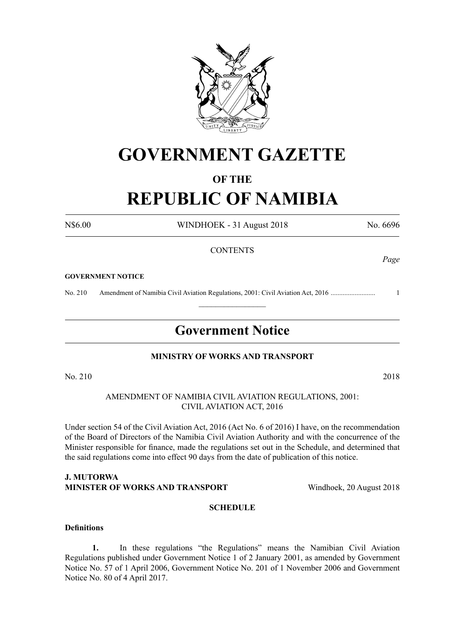

## **GOVERNMENT GAZETTE**

## **OF THE**

# **REPUBLIC OF NAMIBIA**

N\$6.00 WINDHOEK - 31 August 2018 No. 6696

## **CONTENTS**

#### **GOVERNMENT NOTICE**

No. 210 Amendment of Namibia Civil Aviation Regulations, 2001: Civil Aviation Act, 2016 .......................... 1

## **Government Notice**

 $\frac{1}{2}$ 

## **MINISTRY OF WORKS AND TRANSPORT**

No. 210 2018

AMENDMENT OF NAMIBIA CIVIL AVIATION REGULATIONS, 2001: CIVIL AVIATION ACT, 2016

Under section 54 of the Civil Aviation Act, 2016 (Act No. 6 of 2016) I have, on the recommendation of the Board of Directors of the Namibia Civil Aviation Authority and with the concurrence of the Minister responsible for finance, made the regulations set out in the Schedule, and determined that the said regulations come into effect 90 days from the date of publication of this notice.

#### **J. Mutorwa MINISTER OF WORKS AND TRANSPORT Windhoek, 20 August 2018**

## **SCHEDULE**

## **Definitions**

**1.** In these regulations "the Regulations" means the Namibian Civil Aviation Regulations published under Government Notice 1 of 2 January 2001, as amended by Government Notice No. 57 of 1 April 2006, Government Notice No. 201 of 1 November 2006 and Government Notice No. 80 of 4 April 2017.

*Page*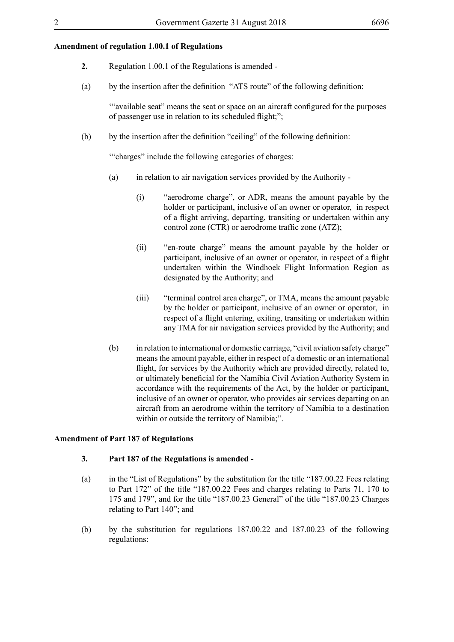## **Amendment of regulation 1.00.1 of Regulations**

- **2.** Regulation 1.00.1 of the Regulations is amended -
- (a) by the insertion after the definition "ATS route" of the following definition:

'"available seat" means the seat or space on an aircraft configured for the purposes of passenger use in relation to its scheduled flight;";

(b) by the insertion after the definition "ceiling" of the following definition:

'"charges" include the following categories of charges:

- (a) in relation to air navigation services provided by the Authority
	- (i) "aerodrome charge", or ADR, means the amount payable by the holder or participant, inclusive of an owner or operator, in respect of a flight arriving, departing, transiting or undertaken within any control zone (CTR) or aerodrome traffic zone (ATZ);
	- (ii) "en-route charge" means the amount payable by the holder or participant, inclusive of an owner or operator, in respect of a flight undertaken within the Windhoek Flight Information Region as designated by the Authority; and
	- (iii) "terminal control area charge", or TMA, means the amount payable by the holder or participant, inclusive of an owner or operator, in respect of a flight entering, exiting, transiting or undertaken within any TMA for air navigation services provided by the Authority; and
- (b) in relation to international or domestic carriage, "civil aviation safety charge" means the amount payable, either in respect of a domestic or an international flight, for services by the Authority which are provided directly, related to, or ultimately beneficial for the Namibia Civil Aviation Authority System in accordance with the requirements of the Act, by the holder or participant, inclusive of an owner or operator, who provides air services departing on an aircraft from an aerodrome within the territory of Namibia to a destination within or outside the territory of Namibia;".

#### **Amendment of Part 187 of Regulations**

#### **3. Part 187 of the Regulations is amended -**

- (a) in the "List of Regulations" by the substitution for the title "187.00.22 Fees relating to Part 172" of the title "187.00.22 Fees and charges relating to Parts 71, 170 to 175 and 179", and for the title "187.00.23 General" of the title "187.00.23 Charges relating to Part 140"; and
- (b) by the substitution for regulations 187.00.22 and 187.00.23 of the following regulations: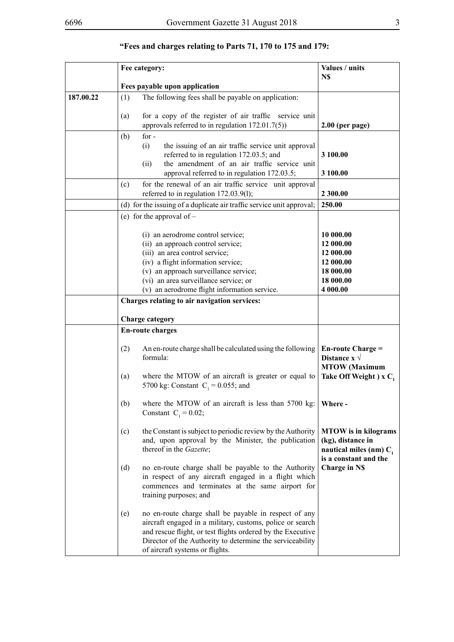|           | Fee category:                                                                                                                                                                                                                                                                            | Values / units                                                                                         |
|-----------|------------------------------------------------------------------------------------------------------------------------------------------------------------------------------------------------------------------------------------------------------------------------------------------|--------------------------------------------------------------------------------------------------------|
|           | Fees payable upon application                                                                                                                                                                                                                                                            | N\$                                                                                                    |
| 187.00.22 | The following fees shall be payable on application:<br>(1)                                                                                                                                                                                                                               |                                                                                                        |
|           | for a copy of the register of air traffic service unit<br>(a)<br>approvals referred to in regulation $172.01.7(5)$ )                                                                                                                                                                     | $2.00$ (per page)                                                                                      |
|           | for $-$<br>(b)<br>(i)<br>the issuing of an air traffic service unit approval<br>referred to in regulation 172.03.5; and<br>the amendment of an air traffic service unit<br>(ii)<br>approval referred to in regulation 172.03.5;                                                          | 3 100.00<br>3 100.00                                                                                   |
|           | for the renewal of an air traffic service unit approval<br>(c)<br>referred to in regulation 172.03.9(1);                                                                                                                                                                                 | 2 300.00                                                                                               |
|           | (d) for the issuing of a duplicate air traffic service unit approval;                                                                                                                                                                                                                    | 250.00                                                                                                 |
|           | (e) for the approval of $-$                                                                                                                                                                                                                                                              |                                                                                                        |
|           | (i) an aerodrome control service;<br>(ii) an approach control service;<br>(iii) an area control service;<br>(iv) a flight information service;<br>(v) an approach surveillance service;<br>(vi) an area surveillance service; or<br>(v) an aerodrome flight information service.         | 10 000.00<br>12 000.00<br>12 000.00<br>12 000.00<br>18 000.00<br>18 000.00<br>4 000.00                 |
|           | Charges relating to air navigation services:                                                                                                                                                                                                                                             |                                                                                                        |
|           |                                                                                                                                                                                                                                                                                          |                                                                                                        |
|           | <b>Charge category</b><br><b>En-route charges</b>                                                                                                                                                                                                                                        |                                                                                                        |
|           | An en-route charge shall be calculated using the following<br>(2)<br>formula:<br>where the MTOW of an aircraft is greater or equal to<br>(a)<br>5700 kg: Constant $C_1 = 0.055$ ; and                                                                                                    | <b>En-route Charge =</b><br>Distance $x \sqrt{ }$<br><b>MTOW</b> (Maximum<br>Take Off Weight) $x C_1$  |
|           | (b)<br>where the MTOW of an aircraft is less than 5700 kg:<br>Constant $C_1 = 0.02$ ;                                                                                                                                                                                                    | Where -                                                                                                |
|           | the Constant is subject to periodic review by the Authority<br>(c)<br>and, upon approval by the Minister, the publication<br>thereof in the Gazette;                                                                                                                                     | <b>MTOW</b> is in kilograms<br>(kg), distance in<br>nautical miles (nm) $C_1$<br>is a constant and the |
|           | (d)<br>no en-route charge shall be payable to the Authority<br>in respect of any aircraft engaged in a flight which<br>commences and terminates at the same airport for<br>training purposes; and                                                                                        | <b>Charge in NS</b>                                                                                    |
|           | no en-route charge shall be payable in respect of any<br>(e)<br>aircraft engaged in a military, customs, police or search<br>and rescue flight, or test flights ordered by the Executive<br>Director of the Authority to determine the serviceability<br>of aircraft systems or flights. |                                                                                                        |

## **"Fees and charges relating to Parts 71, 170 to 175 and 179:**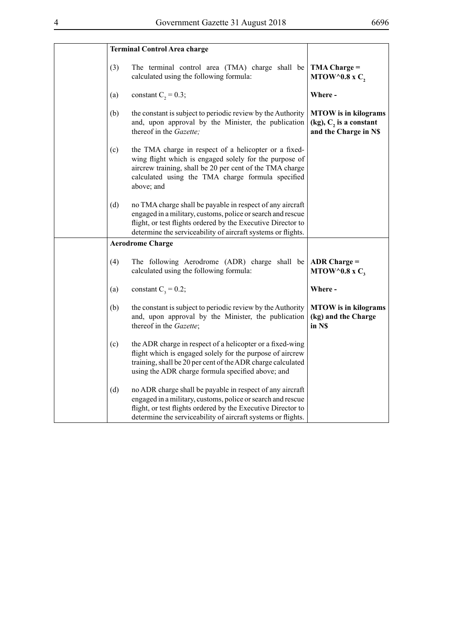|     | <b>Terminal Control Area charge</b>                                                                                                                                                                                                                      |                                                                                     |
|-----|----------------------------------------------------------------------------------------------------------------------------------------------------------------------------------------------------------------------------------------------------------|-------------------------------------------------------------------------------------|
| (3) | The terminal control area (TMA) charge shall be<br>calculated using the following formula:                                                                                                                                                               | $TMA Charge =$<br>MTOW^0.8 x $C_2$                                                  |
| (a) | constant $C_2 = 0.3$ ;                                                                                                                                                                                                                                   | Where-                                                                              |
| (b) | the constant is subject to periodic review by the Authority<br>and, upon approval by the Minister, the publication<br>thereof in the Gazette;                                                                                                            | <b>MTOW</b> is in kilograms<br>$(kg)$ , $C2$ is a constant<br>and the Charge in N\$ |
| (c) | the TMA charge in respect of a helicopter or a fixed-<br>wing flight which is engaged solely for the purpose of<br>aircrew training, shall be 20 per cent of the TMA charge<br>calculated using the TMA charge formula specified<br>above; and           |                                                                                     |
| (d) | no TMA charge shall be payable in respect of any aircraft<br>engaged in a military, customs, police or search and rescue<br>flight, or test flights ordered by the Executive Director to<br>determine the serviceability of aircraft systems or flights. |                                                                                     |
|     | <b>Aerodrome Charge</b>                                                                                                                                                                                                                                  |                                                                                     |
| (4) | The following Aerodrome (ADR) charge shall be<br>calculated using the following formula:                                                                                                                                                                 | ADR Charge $=$<br>MTOW^0.8 x $C_3$                                                  |
| (a) | constant $C_1 = 0.2$ ;                                                                                                                                                                                                                                   | Where-                                                                              |
| (b) | the constant is subject to periodic review by the Authority<br>and, upon approval by the Minister, the publication<br>thereof in the Gazette;                                                                                                            | <b>MTOW</b> is in kilograms<br>(kg) and the Charge<br>in NS                         |
| (c) | the ADR charge in respect of a helicopter or a fixed-wing<br>flight which is engaged solely for the purpose of aircrew<br>training, shall be 20 per cent of the ADR charge calculated<br>using the ADR charge formula specified above; and               |                                                                                     |
| (d) | no ADR charge shall be payable in respect of any aircraft<br>engaged in a military, customs, police or search and rescue<br>flight, or test flights ordered by the Executive Director to<br>determine the serviceability of aircraft systems or flights. |                                                                                     |